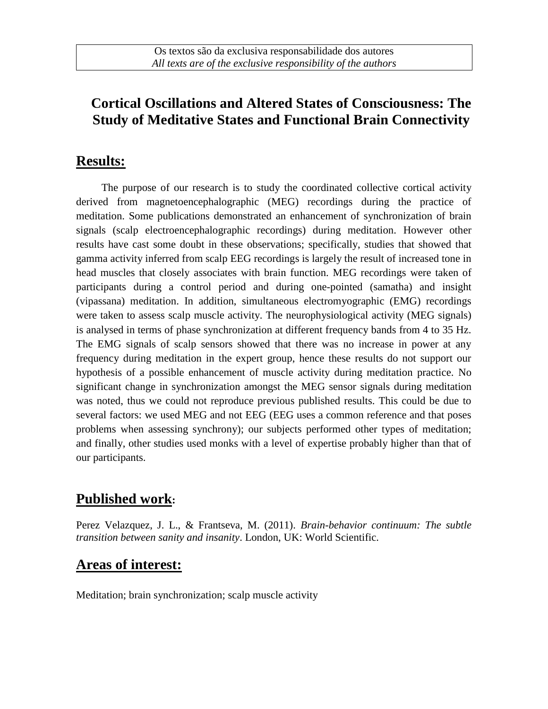# **Cortical Oscillations and Altered States of Consciousness: The Study of Meditative States and Functional Brain Connectivity**

## **Results:**

The purpose of our research is to study the coordinated collective cortical activity derived from magnetoencephalographic (MEG) recordings during the practice of meditation. Some publications demonstrated an enhancement of synchronization of brain signals (scalp electroencephalographic recordings) during meditation. However other results have cast some doubt in these observations; specifically, studies that showed that gamma activity inferred from scalp EEG recordings is largely the result of increased tone in head muscles that closely associates with brain function. MEG recordings were taken of participants during a control period and during one-pointed (samatha) and insight (vipassana) meditation. In addition, simultaneous electromyographic (EMG) recordings were taken to assess scalp muscle activity. The neurophysiological activity (MEG signals) is analysed in terms of phase synchronization at different frequency bands from 4 to 35 Hz. The EMG signals of scalp sensors showed that there was no increase in power at any frequency during meditation in the expert group, hence these results do not support our hypothesis of a possible enhancement of muscle activity during meditation practice. No significant change in synchronization amongst the MEG sensor signals during meditation was noted, thus we could not reproduce previous published results. This could be due to several factors: we used MEG and not EEG (EEG uses a common reference and that poses problems when assessing synchrony); our subjects performed other types of meditation; and finally, other studies used monks with a level of expertise probably higher than that of our participants.

# **Published work:**

Perez Velazquez, J. L., & Frantseva, M. (2011). *Brain-behavior continuum: The subtle transition between sanity and insanity*. London, UK: World Scientific.

### **Areas of interest:**

Meditation; brain synchronization; scalp muscle activity